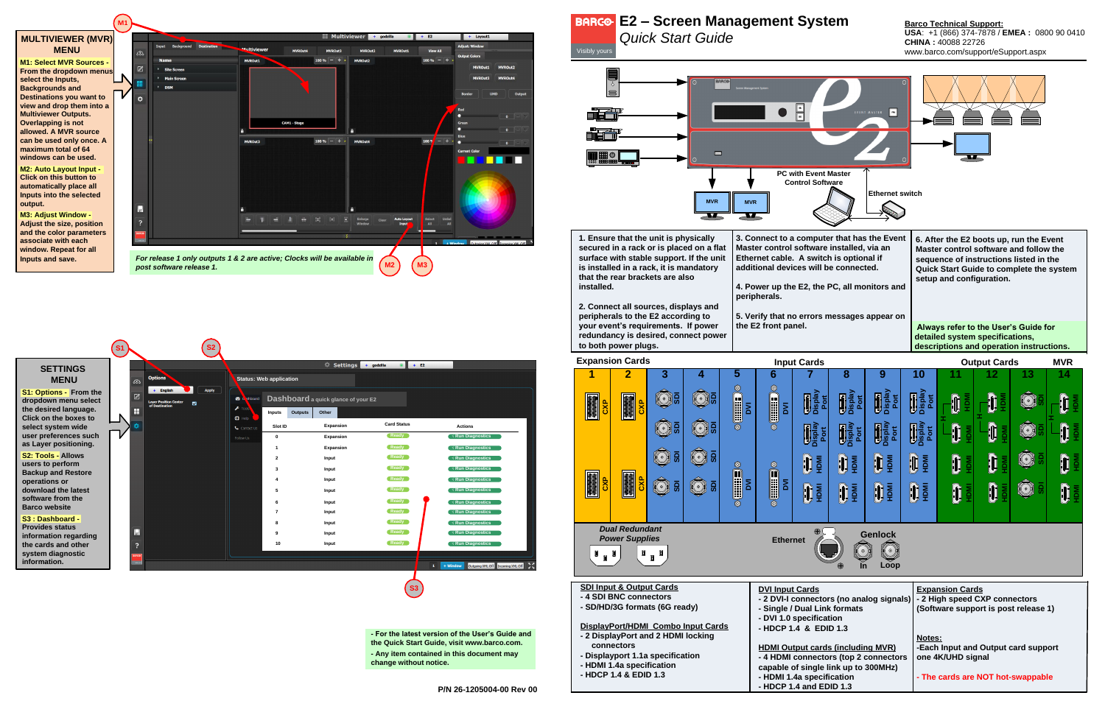*Quick Start Guide*

**USA**: +1 (866) 374-7878 / **EMEA :** 0800 90 0410 **CHINA :** 40088 22726 www.barco.com/support/eSupport.aspx

| installed.                                                                                                                                                                                                                   | 1. Ensure that the unit is physically<br>secured in a rack or is placed on a flat<br>surface with stable support. If the unit<br>is installed in a rack, it is mandatory<br>that the rear brackets are also<br>2. Connect all sources, displays and<br>peripherals to the E2 according to<br>your event's requirements. If power<br>redundancy is desired, connect power<br>to both power plugs. |                                   | 3. Connect to a comp<br><b>Master control softwa</b><br>Ethernet cable. A sw<br>additional devices wi<br>4. Power up the E2, tl<br>peripherals.<br>5. Verify that no error<br>the E2 front panel. |                       |                                              |       |  |  |
|------------------------------------------------------------------------------------------------------------------------------------------------------------------------------------------------------------------------------|--------------------------------------------------------------------------------------------------------------------------------------------------------------------------------------------------------------------------------------------------------------------------------------------------------------------------------------------------------------------------------------------------|-----------------------------------|---------------------------------------------------------------------------------------------------------------------------------------------------------------------------------------------------|-----------------------|----------------------------------------------|-------|--|--|
|                                                                                                                                                                                                                              | <b>Expansion Cards</b>                                                                                                                                                                                                                                                                                                                                                                           |                                   |                                                                                                                                                                                                   |                       | <b>Input Card</b>                            |       |  |  |
| م<br>3                                                                                                                                                                                                                       | $\overline{2}$<br><b>OXC</b>                                                                                                                                                                                                                                                                                                                                                                     | 3                                 | 4                                                                                                                                                                                                 | 5<br>Ó<br>j<br>≅<br>Ο | 6<br>O<br><b>EBOO</b><br>Σ<br>$\circledcirc$ | isnla |  |  |
|                                                                                                                                                                                                                              | <b>OXC</b>                                                                                                                                                                                                                                                                                                                                                                                       | ន្ល                               | ន្ល                                                                                                                                                                                               | O<br>≅<br>O           | O<br>U<br>Σ                                  |       |  |  |
| <b>Dual Redundant</b><br><b>Power Supplies</b><br>Д<br>П                                                                                                                                                                     | $\overline{a}$<br><b>Ethernet</b>                                                                                                                                                                                                                                                                                                                                                                |                                   |                                                                                                                                                                                                   |                       |                                              |       |  |  |
| <b>SDI Input &amp; Output Cards</b><br>- 4 SDI BNC connectors<br>- SD/HD/3G formats (6G ready)<br>DisplayPort/HDMI Combo Input Cards<br>- 2 DisplayPort and 2 HDMI locking<br>connectors<br>- Displayport 1.1a specification | <b>DVI Input Cards</b><br>- 2 DVI-I conned<br>- Single / Dual L<br>- DVI 1.0 specifi<br>- HDCP 1.4 & E<br><b>HDMI Output ca</b>                                                                                                                                                                                                                                                                  |                                   |                                                                                                                                                                                                   |                       |                                              |       |  |  |
|                                                                                                                                                                                                                              | - HDMI 1.4a specification                                                                                                                                                                                                                                                                                                                                                                        | - 4 HDMI conne<br>capable of sing |                                                                                                                                                                                                   |                       |                                              |       |  |  |

| <b>SETTINGS</b>                                                                                                                                        |                                                                                               | $\mathbb{R}$ Settings + godzilla<br>$\bullet$ $+$ E2                                                                                                                                                               |                                                           |                                    |                                                                 |                                                |                             |                            |                                     |                |                                              |                                                 | $\cdots$ pat $\sim$ |  |  |
|--------------------------------------------------------------------------------------------------------------------------------------------------------|-----------------------------------------------------------------------------------------------|--------------------------------------------------------------------------------------------------------------------------------------------------------------------------------------------------------------------|-----------------------------------------------------------|------------------------------------|-----------------------------------------------------------------|------------------------------------------------|-----------------------------|----------------------------|-------------------------------------|----------------|----------------------------------------------|-------------------------------------------------|---------------------|--|--|
| <b>MENU</b>                                                                                                                                            | <b>Options</b><br>  ಕಾ                                                                        | Status: Web application                                                                                                                                                                                            |                                                           |                                    |                                                                 |                                                |                             |                            |                                     |                |                                              | 6.                                              |                     |  |  |
| <b>S1: Options - From the</b><br>dropdown menu select<br>the desired language.<br>Click on the boxes to<br>select system wide<br>user preferences such | Apply<br>+ English<br>$\mathbb Z$<br><b>Layer Position Center</b><br>ø<br>H<br>$\overline{V}$ | 60t<br><b>A</b><br>Outputs<br><b>Inputs</b><br>$\bullet$<br>Slot ID<br>Contact U<br>$\mathbf{0}$                                                                                                                   | Dashboard a quick glance of your E2<br>Other<br>Expansion | <b>Card Status</b><br><b>Ready</b> | <b>Actions</b><br>√ Run Diagnostics                             | <b>REA</b><br>豐明                               |                             | a.<br>Artist<br><b>CXP</b> | ន្ល                                 | me             | $\sum_{i=1}^{\infty}$<br>$\overline{\Sigma}$ | $\mathbf{R}$<br>통                               |                     |  |  |
| as Layer positioning.                                                                                                                                  |                                                                                               | Follow Us                                                                                                                                                                                                          | Expansion<br>Expansion                                    | <b>Ready</b>                       | $\sqrt{R}$ un Diagnostics                                       |                                                |                             |                            |                                     |                |                                              |                                                 |                     |  |  |
| <b>S2: Tools - Allows</b><br>users to perform<br><b>Backup and Restore</b>                                                                             |                                                                                               |                                                                                                                                                                                                                    | Input<br>Input                                            | <b>Ready</b><br><b>Ready</b>       | $\sqrt{R}$ un Diagnostics<br>$\sqrt{8}$ Run Diagnostics         | مما                                            |                             |                            | ā                                   | ៲ឨ             |                                              |                                                 |                     |  |  |
| operations or<br>download the latest                                                                                                                   |                                                                                               |                                                                                                                                                                                                                    | Input<br>Input                                            | Ready<br>Ready                     | $\sqrt{\mathsf{Run\,Diagnostics}}$<br>$\sqrt{R}$ un Diagnostics |                                                |                             |                            | ន្ល                                 | $\overline{5}$ |                                              | $\frac{1}{\sqrt{2}}$<br>$\overline{\mathsf{S}}$ |                     |  |  |
| software from the<br><b>Barco website</b>                                                                                                              |                                                                                               |                                                                                                                                                                                                                    | Input<br>Input                                            | <b>Ready</b><br><b>Ready</b>       | $\sqrt{\mathsf{Run\,Diagnostic}\,}$<br>√ Run Diagnostics        |                                                |                             |                            |                                     |                |                                              |                                                 |                     |  |  |
| S3: Dashboard -<br><b>Provides status</b><br>information regarding                                                                                     | Ы                                                                                             |                                                                                                                                                                                                                    | Input<br>Input                                            | Ready<br><b>Ready</b>              | $\sqrt{\mathsf{Run\,Diagnostic}\,}$<br>◯ √ Run Diagnostics      | <b>Dual Redundant</b><br><b>Power Supplies</b> |                             |                            |                                     |                | <b>Ethernet</b>                              |                                                 |                     |  |  |
| the cards and other<br>system diagnostic<br>information.                                                                                               | ?                                                                                             | Ready<br>$\sqrt{\mathsf{Run\,Diagnostics}}$<br>Input<br>10<br>$\begin{smallmatrix} \mathbf{0} & \mathbf{0} \end{smallmatrix}$<br>$\mathbb{I}$ $\mathbb{I}$<br>П<br>Outgoing XML Off Incoming XML Off<br>$+$ Window |                                                           |                                    |                                                                 |                                                |                             |                            |                                     |                |                                              |                                                 |                     |  |  |
|                                                                                                                                                        |                                                                                               |                                                                                                                                                                                                                    |                                                           | ( S3                               |                                                                 |                                                | <b>A CDI DNC connoctors</b> |                            | <b>SDI Input &amp; Output Cards</b> |                |                                              | <b>DVI Input Ca</b>                             |                     |  |  |



**- For the latest version of the User's Guide and the Quick Start Guide, visit www.barco.com. - Any item contained in this document may change without notice.**



## **P/N 26-1205004-00 Rev 00**

# **E2 – Screen Management System**<br>
Quick Start Guide<br>
Visibly yours **Barco CHINA** : 40088 22726<br>
Visibly yours **Barco.com/support/es**

# **SETTINGS MENU**

### **S2: Tools - Allows users to perform Backup and Restore operations or download the latest**

**S1 S2**

## **MULTIVIEWER (MVR) MENU**

**M1: Select MVR Sources - From the dropdown menus select the Inputs, Backgrounds and Destinations you want to view and drop them into a Multiviewer Outputs. Overlapping is not allowed. A MVR source can be used only once. A maximum total of 64 windows can be used.**

**M2: Auto Layout Input - Click on this button to automatically place all Inputs into the selected output.**

**M3: Adjust Window - Adjust the size, position and the color parameters associate with each window. Repeat for all Inputs and save.**